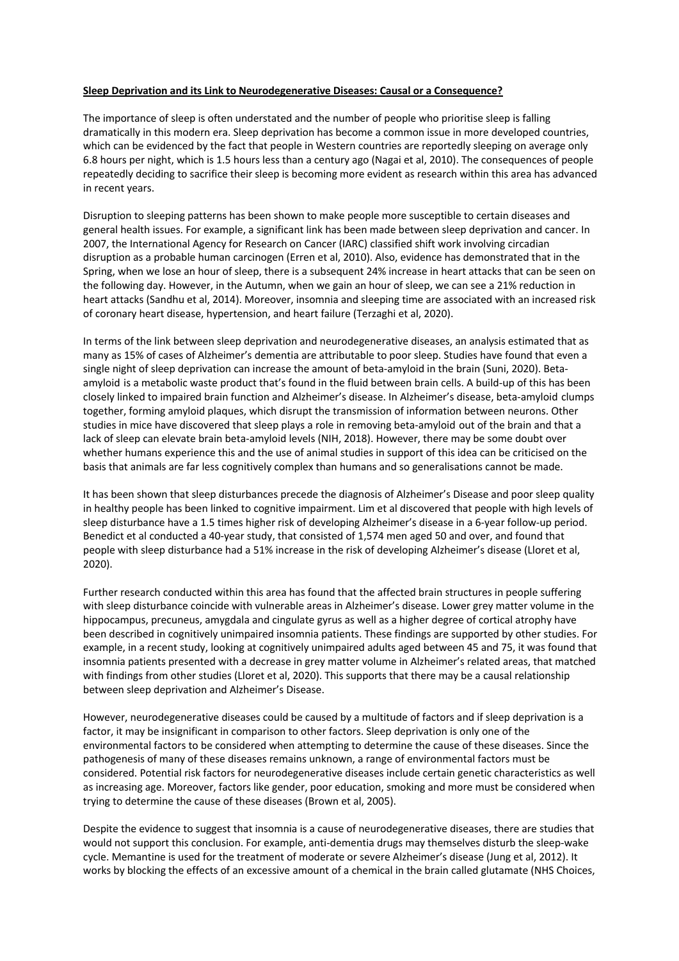## **Sleep Deprivation and its Link to Neurodegenerative Diseases: Causal or a Consequence?**

The importance of sleep is often understated and the number of people who prioritise sleep is falling dramatically in this modern era. Sleep deprivation has become a common issue in more developed countries, which can be evidenced by the fact that people in Western countries are reportedly sleeping on average only 6.8 hours per night, which is 1.5 hours less than a century ago (Nagai et al, 2010). The consequences of people repeatedly deciding to sacrifice their sleep is becoming more evident as research within this area has advanced in recent years.

Disruption to sleeping patterns has been shown to make people more susceptible to certain diseases and general health issues. For example, a significant link has been made between sleep deprivation and cancer. In 2007, the International Agency for Research on Cancer (IARC) classified shift work involving circadian disruption as a probable human carcinogen (Erren et al, 2010). Also, evidence has demonstrated that in the Spring, when we lose an hour of sleep, there is a subsequent 24% increase in heart attacks that can be seen on the following day. However, in the Autumn, when we gain an hour of sleep, we can see a 21% reduction in heart attacks (Sandhu et al, 2014). Moreover, insomnia and sleeping time are associated with an increased risk of coronary heart disease, hypertension, and heart failure (Terzaghi et al, 2020).

In terms of the link between sleep deprivation and neurodegenerative diseases, an analysis estimated that as many as 15% of cases of Alzheimer's dementia are attributable to poor sleep. Studies have found that even a single night of sleep deprivation can increase the amount of beta-amyloid in the brain (Suni, 2020). Betaamyloid is a metabolic waste product that's found in the fluid between brain cells. A build-up of this has been closely linked to impaired brain function and Alzheimer's disease. In Alzheimer's disease, beta-amyloid clumps together, forming amyloid plaques, which disrupt the transmission of information between neurons. Other studies in mice have discovered that sleep plays a role in removing beta-amyloid out of the brain and that a lack of sleep can elevate brain beta-amyloid levels (NIH, 2018). However, there may be some doubt over whether humans experience this and the use of animal studies in support of this idea can be criticised on the basis that animals are far less cognitively complex than humans and so generalisations cannot be made.

It has been shown that sleep disturbances precede the diagnosis of Alzheimer's Disease and poor sleep quality in healthy people has been linked to cognitive impairment. Lim et al discovered that people with high levels of sleep disturbance have a 1.5 times higher risk of developing Alzheimer's disease in a 6-year follow-up period. Benedict et al conducted a 40-year study, that consisted of 1,574 men aged 50 and over, and found that people with sleep disturbance had a 51% increase in the risk of developing Alzheimer's disease (Lloret et al, 2020).

Further research conducted within this area has found that the affected brain structures in people suffering with sleep disturbance coincide with vulnerable areas in Alzheimer's disease. Lower grey matter volume in the hippocampus, precuneus, amygdala and cingulate gyrus as well as a higher degree of cortical atrophy have been described in cognitively unimpaired insomnia patients. These findings are supported by other studies. For example, in a recent study, looking at cognitively unimpaired adults aged between 45 and 75, it was found that insomnia patients presented with a decrease in grey matter volume in Alzheimer's related areas, that matched with findings from other studies (Lloret et al, 2020). This supports that there may be a causal relationship between sleep deprivation and Alzheimer's Disease.

However, neurodegenerative diseases could be caused by a multitude of factors and if sleep deprivation is a factor, it may be insignificant in comparison to other factors. Sleep deprivation is only one of the environmental factors to be considered when attempting to determine the cause of these diseases. Since the pathogenesis of many of these diseases remains unknown, a range of environmental factors must be considered. Potential risk factors for neurodegenerative diseases include certain genetic characteristics as well as increasing age. Moreover, factors like gender, poor education, smoking and more must be considered when trying to determine the cause of these diseases (Brown et al, 2005).

Despite the evidence to suggest that insomnia is a cause of neurodegenerative diseases, there are studies that would not support this conclusion. For example, anti-dementia drugs may themselves disturb the sleep-wake cycle. Memantine is used for the treatment of moderate or severe Alzheimer's disease (Jung et al, 2012). It works by blocking the effects of an excessive amount of a chemical in the brain called glutamate (NHS Choices,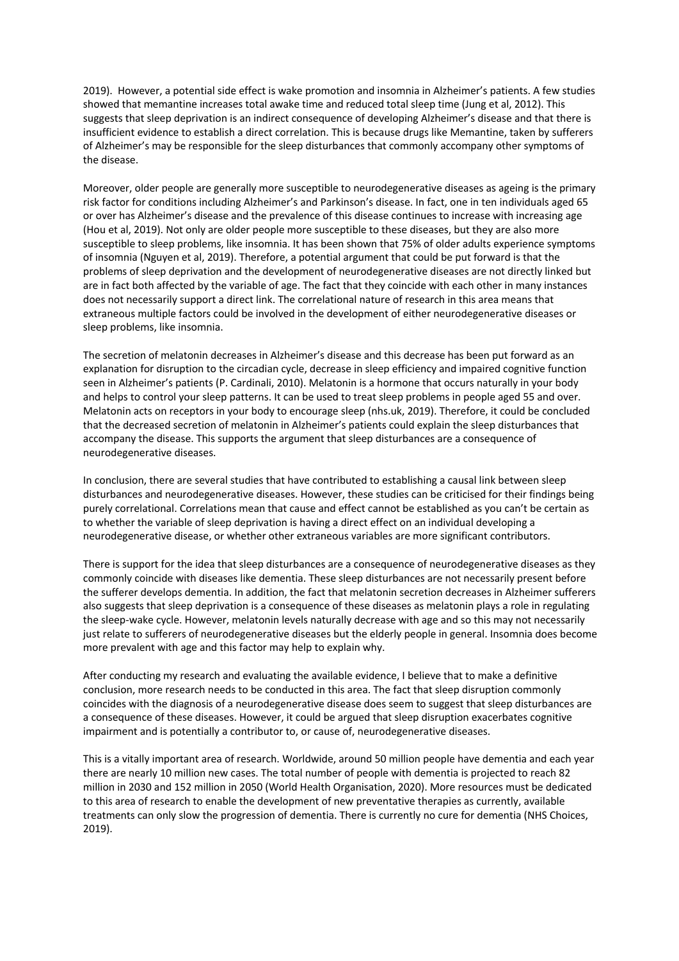2019). However, a potential side effect is wake promotion and insomnia in Alzheimer's patients. A few studies showed that memantine increases total awake time and reduced total sleep time (Jung et al, 2012). This suggests that sleep deprivation is an indirect consequence of developing Alzheimer's disease and that there is insufficient evidence to establish a direct correlation. This is because drugs like Memantine, taken by sufferers of Alzheimer's may be responsible for the sleep disturbances that commonly accompany other symptoms of the disease.

Moreover, older people are generally more susceptible to neurodegenerative diseases as ageing is the primary risk factor for conditions including Alzheimer's and Parkinson's disease. In fact, one in ten individuals aged 65 or over has Alzheimer's disease and the prevalence of this disease continues to increase with increasing age (Hou et al, 2019). Not only are older people more susceptible to these diseases, but they are also more susceptible to sleep problems, like insomnia. It has been shown that 75% of older adults experience symptoms of insomnia (Nguyen et al, 2019). Therefore, a potential argument that could be put forward is that the problems of sleep deprivation and the development of neurodegenerative diseases are not directly linked but are in fact both affected by the variable of age. The fact that they coincide with each other in many instances does not necessarily support a direct link. The correlational nature of research in this area means that extraneous multiple factors could be involved in the development of either neurodegenerative diseases or sleep problems, like insomnia.

The secretion of melatonin decreases in Alzheimer's disease and this decrease has been put forward as an explanation for disruption to the circadian cycle, decrease in sleep efficiency and impaired cognitive function seen in Alzheimer's patients (P. Cardinali, 2010). Melatonin is a hormone that occurs naturally in your body and helps to control your sleep patterns. It can be used to treat sleep problems in people aged 55 and over. Melatonin acts on receptors in your body to encourage sleep (nhs.uk, 2019). Therefore, it could be concluded that the decreased secretion of melatonin in Alzheimer's patients could explain the sleep disturbances that accompany the disease. This supports the argument that sleep disturbances are a consequence of neurodegenerative diseases.

In conclusion, there are several studies that have contributed to establishing a causal link between sleep disturbances and neurodegenerative diseases. However, these studies can be criticised for their findings being purely correlational. Correlations mean that cause and effect cannot be established as you can't be certain as to whether the variable of sleep deprivation is having a direct effect on an individual developing a neurodegenerative disease, or whether other extraneous variables are more significant contributors.

There is support for the idea that sleep disturbances are a consequence of neurodegenerative diseases as they commonly coincide with diseases like dementia. These sleep disturbances are not necessarily present before the sufferer develops dementia. In addition, the fact that melatonin secretion decreases in Alzheimer sufferers also suggests that sleep deprivation is a consequence of these diseases as melatonin plays a role in regulating the sleep-wake cycle. However, melatonin levels naturally decrease with age and so this may not necessarily just relate to sufferers of neurodegenerative diseases but the elderly people in general. Insomnia does become more prevalent with age and this factor may help to explain why.

After conducting my research and evaluating the available evidence, I believe that to make a definitive conclusion, more research needs to be conducted in this area. The fact that sleep disruption commonly coincides with the diagnosis of a neurodegenerative disease does seem to suggest that sleep disturbances are a consequence of these diseases. However, it could be argued that sleep disruption exacerbates cognitive impairment and is potentially a contributor to, or cause of, neurodegenerative diseases.

This is a vitally important area of research. Worldwide, around 50 million people have dementia and each year there are nearly 10 million new cases. The total number of people with dementia is projected to reach 82 million in 2030 and 152 million in 2050 (World Health Organisation, 2020). More resources must be dedicated to this area of research to enable the development of new preventative therapies as currently, available treatments can only slow the progression of dementia. There is currently no cure for dementia (NHS Choices, 2019).